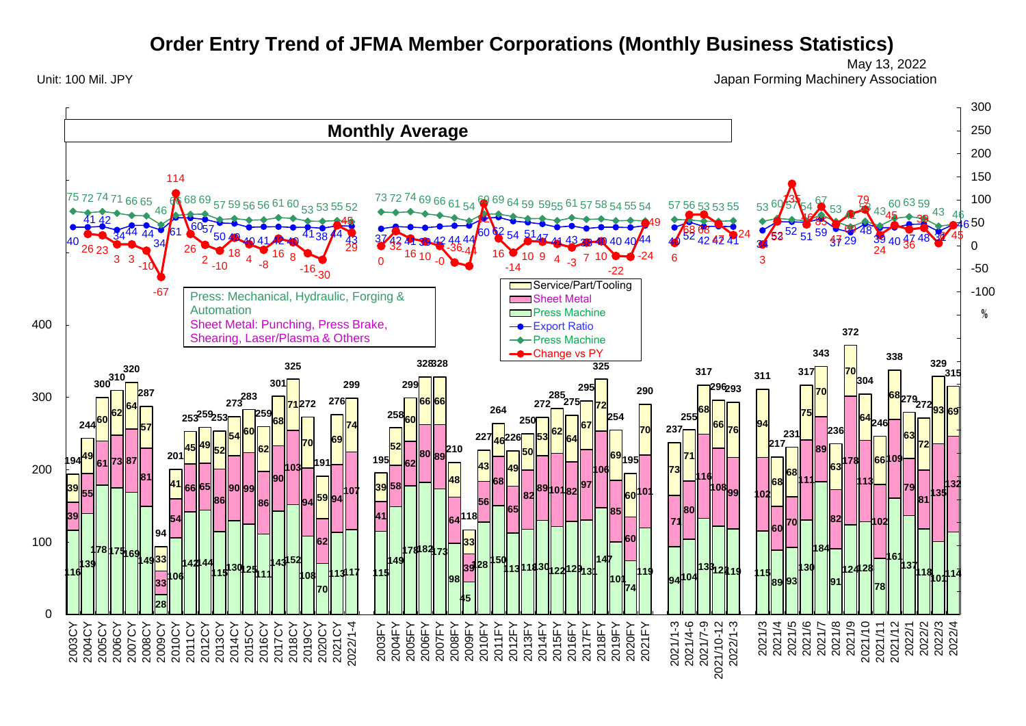## **Order Entry Trend of JFMA Member Corporations (Monthly Business Statistics)**

Unit: 100 Mil. JPY Japan Forming Machinery Association May 13, 2022